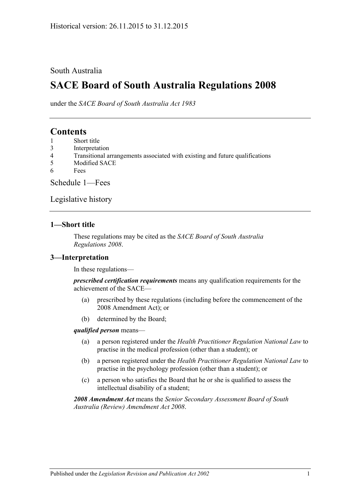### South Australia

# **SACE Board of South Australia Regulations 2008**

under the *SACE Board of South Australia Act 1983*

## **Contents**

- 1 [Short title](#page-0-0)
- 3 [Interpretation](#page-0-1)
- 4 [Transitional arrangements associated with existing and future qualifications](#page-1-0)
- 5 [Modified SACE](#page-1-1)
- 6 [Fees](#page-1-2)

[Schedule 1—Fees](#page-1-3)

[Legislative history](#page-4-0)

### <span id="page-0-0"></span>**1—Short title**

These regulations may be cited as the *SACE Board of South Australia Regulations 2008*.

### <span id="page-0-1"></span>**3—Interpretation**

In these regulations—

*prescribed certification requirements* means any qualification requirements for the achievement of the SACE—

- (a) prescribed by these regulations (including before the commencement of the 2008 Amendment Act); or
- (b) determined by the Board;

#### *qualified person* means—

- (a) a person registered under the *[Health Practitioner Regulation National Law](http://www.legislation.sa.gov.au/index.aspx?action=legref&type=act&legtitle=Health%20Practitioner%20Regulation%20National%20Law)* to practise in the medical profession (other than a student); or
- (b) a person registered under the *[Health Practitioner Regulation National Law](http://www.legislation.sa.gov.au/index.aspx?action=legref&type=act&legtitle=Health%20Practitioner%20Regulation%20National%20Law)* to practise in the psychology profession (other than a student); or
- (c) a person who satisfies the Board that he or she is qualified to assess the intellectual disability of a student;

*2008 Amendment Act* means the *[Senior Secondary Assessment Board of South](http://www.legislation.sa.gov.au/index.aspx?action=legref&type=act&legtitle=Senior%20Secondary%20Assessment%20Board%20of%20South%20Australia%20(Review)%20Amendment%20Act%202008)  [Australia \(Review\) Amendment Act](http://www.legislation.sa.gov.au/index.aspx?action=legref&type=act&legtitle=Senior%20Secondary%20Assessment%20Board%20of%20South%20Australia%20(Review)%20Amendment%20Act%202008) 2008*.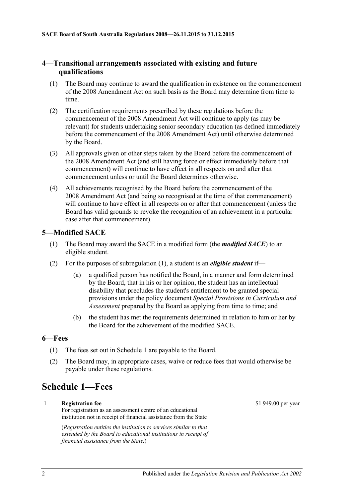### <span id="page-1-0"></span>**4—Transitional arrangements associated with existing and future qualifications**

- (1) The Board may continue to award the qualification in existence on the commencement of the 2008 Amendment Act on such basis as the Board may determine from time to time.
- (2) The certification requirements prescribed by these regulations before the commencement of the 2008 Amendment Act will continue to apply (as may be relevant) for students undertaking senior secondary education (as defined immediately before the commencement of the 2008 Amendment Act) until otherwise determined by the Board.
- (3) All approvals given or other steps taken by the Board before the commencement of the 2008 Amendment Act (and still having force or effect immediately before that commencement) will continue to have effect in all respects on and after that commencement unless or until the Board determines otherwise.
- (4) All achievements recognised by the Board before the commencement of the 2008 Amendment Act (and being so recognised at the time of that commencement) will continue to have effect in all respects on or after that commencement (unless the Board has valid grounds to revoke the recognition of an achievement in a particular case after that commencement).

### <span id="page-1-4"></span><span id="page-1-1"></span>**5—Modified SACE**

- (1) The Board may award the SACE in a modified form (the *modified SACE*) to an eligible student.
- (2) For the purposes of [subregulation](#page-1-4) (1), a student is an *eligible student* if—
	- (a) a qualified person has notified the Board, in a manner and form determined by the Board, that in his or her opinion, the student has an intellectual disability that precludes the student's entitlement to be granted special provisions under the policy document *Special Provisions in Curriculum and Assessment* prepared by the Board as applying from time to time; and
	- (b) the student has met the requirements determined in relation to him or her by the Board for the achievement of the modified SACE.

### <span id="page-1-2"></span>**6—Fees**

- (1) The fees set out in Schedule 1 are payable to the Board.
- (2) The Board may, in appropriate cases, waive or reduce fees that would otherwise be payable under these regulations.

# <span id="page-1-3"></span>**Schedule 1—Fees**

1 **Registration fee** For registration as an assessment centre of an educational institution not in receipt of financial assistance from the State

> (*Registration entitles the institution to services similar to that extended by the Board to educational institutions in receipt of financial assistance from the State.*)

\$1 949.00 per year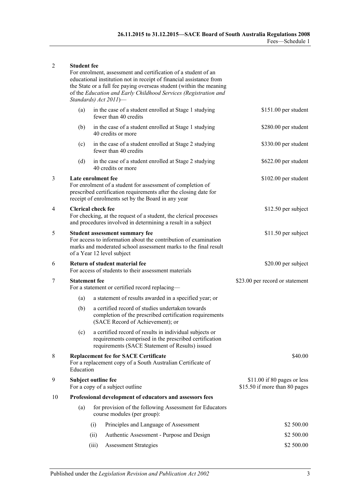#### 2 **Student fee**

For enrolment, assessment and certification of a student of an educational institution not in receipt of financial assistance from the State or a full fee paying overseas student (within the meaning of the *[Education and Early Childhood Services \(Registration and](http://www.legislation.sa.gov.au/index.aspx?action=legref&type=act&legtitle=Education%20and%20Early%20Childhood%20Services%20(Registration%20and%20Standards)%20Act%202011)  [Standards\) Act](http://www.legislation.sa.gov.au/index.aspx?action=legref&type=act&legtitle=Education%20and%20Early%20Childhood%20Services%20(Registration%20and%20Standards)%20Act%202011) 2011*)—

|    | (a)                                                                                                                                                                                                        |                                                                        | in the case of a student enrolled at Stage 1 studying<br>fewer than 40 credits                                                                                       | \$151.00 per student                                         |
|----|------------------------------------------------------------------------------------------------------------------------------------------------------------------------------------------------------------|------------------------------------------------------------------------|----------------------------------------------------------------------------------------------------------------------------------------------------------------------|--------------------------------------------------------------|
|    | (b)                                                                                                                                                                                                        |                                                                        | in the case of a student enrolled at Stage 1 studying<br>40 credits or more                                                                                          | \$280.00 per student                                         |
|    | (c)                                                                                                                                                                                                        |                                                                        | in the case of a student enrolled at Stage 2 studying<br>fewer than 40 credits                                                                                       | \$330.00 per student                                         |
|    | (d)                                                                                                                                                                                                        |                                                                        | in the case of a student enrolled at Stage 2 studying<br>40 credits or more                                                                                          | \$622.00 per student                                         |
| 3  | Late enrolment fee<br>For enrolment of a student for assessment of completion of<br>prescribed certification requirements after the closing date for<br>receipt of enrolments set by the Board in any year |                                                                        |                                                                                                                                                                      | \$102.00 per student                                         |
| 4  | <b>Clerical check fee</b><br>For checking, at the request of a student, the clerical processes<br>and procedures involved in determining a result in a subject                                             |                                                                        |                                                                                                                                                                      | \$12.50 per subject                                          |
| 5  | <b>Student assessment summary fee</b><br>For access to information about the contribution of examination<br>marks and moderated school assessment marks to the final result<br>of a Year 12 level subject  |                                                                        |                                                                                                                                                                      | \$11.50 per subject                                          |
| 6  | Return of student material fee<br>For access of students to their assessment materials                                                                                                                     |                                                                        |                                                                                                                                                                      | \$20.00 per subject                                          |
| 7  |                                                                                                                                                                                                            | <b>Statement</b> fee<br>For a statement or certified record replacing- |                                                                                                                                                                      | \$23.00 per record or statement                              |
|    | (a)                                                                                                                                                                                                        |                                                                        | a statement of results awarded in a specified year; or                                                                                                               |                                                              |
|    | (b)                                                                                                                                                                                                        |                                                                        | a certified record of studies undertaken towards<br>completion of the prescribed certification requirements<br>(SACE Record of Achievement); or                      |                                                              |
|    | (c)                                                                                                                                                                                                        |                                                                        | a certified record of results in individual subjects or<br>requirements comprised in the prescribed certification<br>requirements (SACE Statement of Results) issued |                                                              |
| 8  | <b>Replacement fee for SACE Certificate</b><br>For a replacement copy of a South Australian Certificate of<br>Education                                                                                    |                                                                        |                                                                                                                                                                      | \$40.00                                                      |
| 9  | Subject outline fee<br>For a copy of a subject outline                                                                                                                                                     |                                                                        |                                                                                                                                                                      | \$11.00 if 80 pages or less<br>\$15.50 if more than 80 pages |
| 10 |                                                                                                                                                                                                            | Professional development of educators and assessors fees               |                                                                                                                                                                      |                                                              |
|    | for provision of the following Assessment for Educators<br>(a)<br>course modules (per group):                                                                                                              |                                                                        |                                                                                                                                                                      |                                                              |
|    |                                                                                                                                                                                                            | (i)                                                                    | Principles and Language of Assessment                                                                                                                                | \$2 500.00                                                   |
|    |                                                                                                                                                                                                            | (ii)                                                                   | Authentic Assessment - Purpose and Design                                                                                                                            | \$2 500.00                                                   |
|    |                                                                                                                                                                                                            | (iii)                                                                  | <b>Assessment Strategies</b>                                                                                                                                         | \$2 500.00                                                   |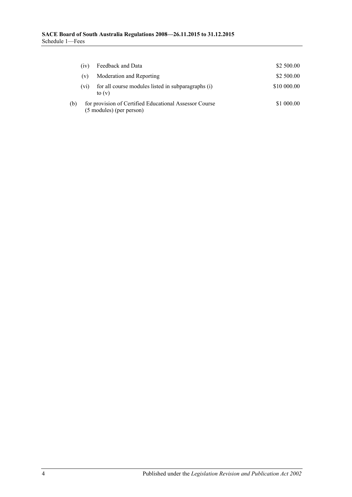|     | (iv)                                                                               | Feedback and Data                                              | \$2 500.00  |
|-----|------------------------------------------------------------------------------------|----------------------------------------------------------------|-------------|
|     | (v)                                                                                | Moderation and Reporting                                       | \$2 500.00  |
|     | $(v_1)$                                                                            | for all course modules listed in subparagraphs (i)<br>to $(v)$ | \$10 000,00 |
| (b) | for provision of Certified Educational Assessor Course<br>(5 modules) (per person) |                                                                | \$1 000.00  |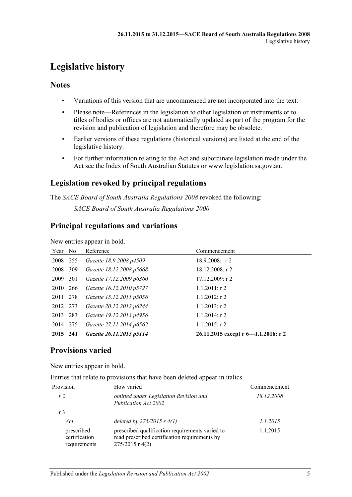# <span id="page-4-0"></span>**Legislative history**

### **Notes**

- Variations of this version that are uncommenced are not incorporated into the text.
- Please note—References in the legislation to other legislation or instruments or to titles of bodies or offices are not automatically updated as part of the program for the revision and publication of legislation and therefore may be obsolete.
- Earlier versions of these regulations (historical versions) are listed at the end of the legislative history.
- For further information relating to the Act and subordinate legislation made under the Act see the Index of South Australian Statutes or www.legislation.sa.gov.au.

# **Legislation revoked by principal regulations**

The *SACE Board of South Australia Regulations 2008* revoked the following: *SACE Board of South Australia Regulations 2000*

## **Principal regulations and variations**

New entries appear in bold.

| Year No  |     | Reference                | Commencement                        |
|----------|-----|--------------------------|-------------------------------------|
| 2008 255 |     | Gazette 18.9.2008 p4509  | $18.9.2008$ : r2                    |
| 2008     | 309 | Gazette 18.12.2008 p5668 | $18.12.2008:$ r 2                   |
| 2009     | 301 | Gazette 17.12.2009 p6360 | 17.12.2009: r2                      |
| 2010 266 |     | Gazette 16.12.2010 p5727 | $1.1.2011:$ r 2                     |
| 2011 278 |     | Gazette 15.12.2011 p5056 | $1.1.2012$ : r 2                    |
| 2012 273 |     | Gazette 20.12.2012 p6244 | $1.1.2013$ : r 2                    |
| 2013 283 |     | Gazette 19.12.2013 p4956 | $1.1.2014$ : r 2                    |
| 2014 275 |     | Gazette 27.11.2014 p6562 | $1.1.2015$ : r 2                    |
| 2015 241 |     | Gazette 26.11.2015 p5114 | 26.11.2015 except r 6-1.1.2016: r 2 |

## **Provisions varied**

New entries appear in bold.

Entries that relate to provisions that have been deleted appear in italics.

| Provision                                   | How varied                                                                                                            | Commencement |  |
|---------------------------------------------|-----------------------------------------------------------------------------------------------------------------------|--------------|--|
| r <sub>2</sub>                              | omitted under Legislation Revision and<br>Publication Act 2002                                                        | 18.12.2008   |  |
| r <sub>3</sub>                              |                                                                                                                       |              |  |
| Act                                         | deleted by $275/2015$ r $4(1)$                                                                                        | 1.1.2015     |  |
| prescribed<br>certification<br>requirements | prescribed qualification requirements varied to<br>read prescribed certification requirements by<br>$275/2015$ r 4(2) | 1.1.2015     |  |